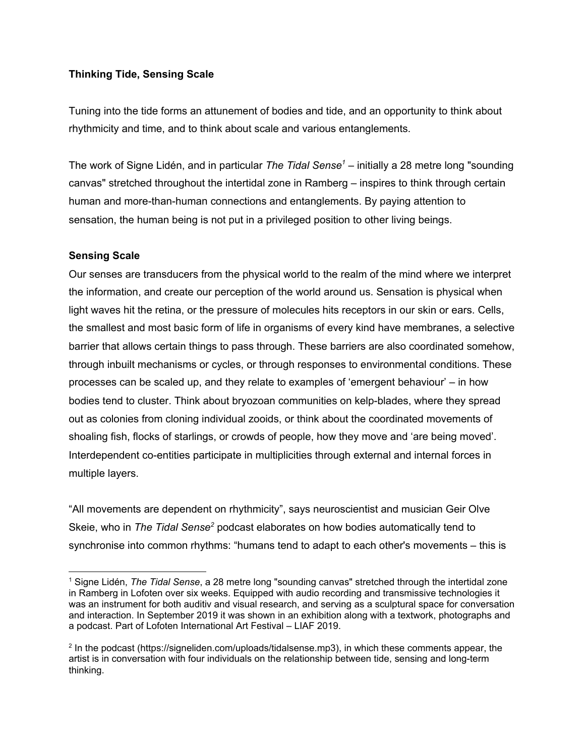## **Thinking Tide, Sensing Scale**

Tuning into the tide forms an attunement of bodies and tide, and an opportunity to think about rhythmicity and time, and to think about scale and various entanglements.

The work of Signe Lidén, and in particular *The Tidal Sense <sup>1</sup>* – initially a 28 metre long "sounding canvas" stretched throughout the intertidal zone in Ramberg – inspires to think through certain human and more-than-human connections and entanglements. By paying attention to sensation, the human being is not put in a privileged position to other living beings.

## **Sensing Scale**

Our senses are transducers from the physical world to the realm of the mind where we interpret the information, and create our perception of the world around us. Sensation is physical when light waves hit the retina, or the pressure of molecules hits receptors in our skin or ears. Cells, the smallest and most basic form of life in organisms of every kind have membranes, a selective barrier that allows certain things to pass through. These barriers are also coordinated somehow, through inbuilt mechanisms or cycles, or through responses to environmental conditions. These processes can be scaled up, and they relate to examples of 'emergent behaviour' – in how bodies tend to cluster. Think about bryozoan communities on kelp-blades, where they spread out as colonies from cloning individual zooids, or think about the coordinated movements of shoaling fish, flocks of starlings, or crowds of people, how they move and 'are being moved'. Interdependent co-entities participate in multiplicities through external and internal forces in multiple layers.

"All movements are dependent on rhythmicity", says neuroscientist and musician Geir Olve Skeie, who in *The Tidal Sense <sup>2</sup>* podcast elaborates on how bodies automatically tend to synchronise into common rhythms: "humans tend to adapt to each other's movements – this is

<sup>1</sup> Signe Lidén, *The Tidal Sense*, a 28 metre long "sounding canvas" stretched through the intertidal zone in Ramberg in Lofoten over six weeks. Equipped with audio recording and transmissive technologies it was an instrument for both auditiv and visual research, and serving as a sculptural space for conversation and interaction. In September 2019 it was shown in an exhibition along with a textwork, photographs and a podcast. Part of Lofoten International Art Festival – LIAF 2019.

<sup>2</sup> In the podcast (https://signeliden.com/uploads/tidalsense.mp3), in which these comments appear, the artist is in conversation with four individuals on the relationship between tide, sensing and long-term thinking.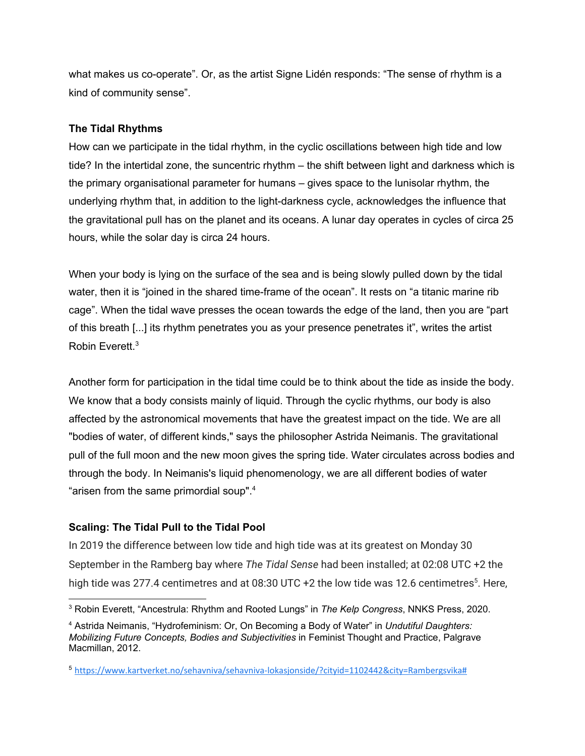what makes us co-operate". Or, as the artist Signe Lidén responds: "The sense of rhythm is a kind of community sense".

## **The Tidal Rhythms**

How can we participate in the tidal rhythm, in the cyclic oscillations between high tide and low tide? In the intertidal zone, the suncentric rhythm – the shift between light and darkness which is the primary organisational parameter for humans – gives space to the lunisolar rhythm, the underlying rhythm that, in addition to the light-darkness cycle, acknowledges the influence that the gravitational pull has on the planet and its oceans. A lunar day operates in cycles of circa 25 hours, while the solar day is circa 24 hours.

When your body is lying on the surface of the sea and is being slowly pulled down by the tidal water, then it is "joined in the shared time-frame of the ocean". It rests on "a titanic marine rib cage". When the tidal wave presses the ocean towards the edge of the land, then you are "part of this breath [...] its rhythm penetrates you as your presence penetrates it", writes the artist Robin Everett. 3

Another form for participation in the tidal time could be to think about the tide as inside the body. We know that a body consists mainly of liquid. Through the cyclic rhythms, our body is also affected by the astronomical movements that have the greatest impact on the tide. We are all "bodies of water, of different kinds," says the philosopher Astrida Neimanis. The gravitational pull of the full moon and the new moon gives the spring tide. Water circulates across bodies and through the body. In Neimanis's liquid phenomenology, we are all different bodies of water "arisen from the same primordial soup".<sup>4</sup>

# **Scaling: The Tidal Pull to the Tidal Pool**

In 2019 the difference between low tide and high tide was at its greatest on Monday 30 September in the Ramberg bay where *The Tidal Sense* had been installed; at 02:08 UTC +2 the high tide was 277.4 centimetres and at 08:30 UTC +2 the low tide was 12.6 centimetres<sup>5</sup>. Here,

<sup>3</sup> Robin Everett, "Ancestrula: Rhythm and Rooted Lungs" in *The Kelp Congress*, NNKS Press, 2020.

<sup>4</sup> Astrida Neimanis, "Hydrofeminism: Or, On Becoming a Body of Water" in *Undutiful Daughters: Mobilizing Future Concepts, Bodies and Subjectivities* in Feminist Thought and Practice, Palgrave Macmillan, 2012.

<sup>5</sup> [https://www.kartverket.no/sehavniva/sehavniva-lokasjonside/?cityid=1102442&city=Rambergsvika#](https://www.kartverket.no/sehavniva/sehavniva-lokasjonside/?cityid=1102442&city=Rambergsvika)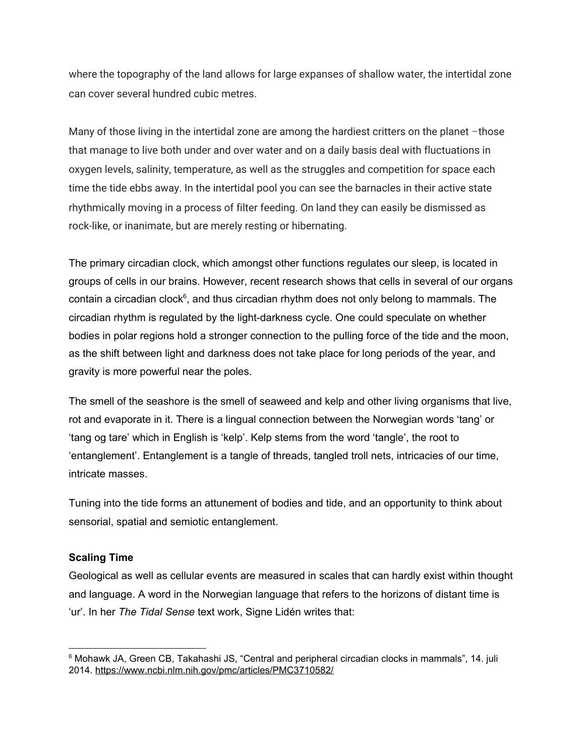where the topography of the land allows for large expanses of shallow water, the intertidal zone can cover several hundred cubic metres.

Many of those living in the intertidal zone are among the hardiest critters on the planet -those that manage to live both under and over water and on a daily basis deal with fluctuations in oxygen levels, salinity, temperature, as well as the struggles and competition for space each time the tide ebbs away. In the intertidal pool you can see the barnacles in their active state rhythmically moving in a process of filter feeding. On land they can easily be dismissed as rock-like, or inanimate, but are merely resting or hibernating.

The primary circadian clock, which amongst other functions regulates our sleep, is located in groups of cells in our brains. However, recent research shows that cells in several of our organs contain a circadian clock<sup>6</sup>, and thus circadian rhythm does not only belong to mammals. The circadian rhythm is regulated by the light-darkness cycle. One could speculate on whether bodies in polar regions hold a stronger connection to the pulling force of the tide and the moon, as the shift between light and darkness does not take place for long periods of the year, and gravity is more powerful near the poles.

The smell of the seashore is the smell of seaweed and kelp and other living organisms that live, rot and evaporate in it. There is a lingual connection between the Norwegian words 'tang' or 'tang og tare' which in English is 'kelp'. Kelp stems from the word 'tangle', the root to 'entanglement'. Entanglement is a tangle of threads, tangled troll nets, intricacies of our time, intricate masses.

Tuning into the tide forms an attunement of bodies and tide, and an opportunity to think about sensorial, spatial and semiotic entanglement.

### **Scaling Time**

Geological as well as cellular events are measured in scales that can hardly exist within thought and language. A word in the Norwegian language that refers to the horizons of distant time is 'ur'. In her *The Tidal Sense* text work, Signe Lidén writes that:

<sup>&</sup>lt;sup>6</sup> Mohawk JA, Green CB, Takahashi JS, "Central and [peripheral](https://www.ncbi.nlm.nih.gov/pmc/articles/PMC3710582) circadian clocks in mammals", 14. juli 2014. <https://www.ncbi.nlm.nih.gov/pmc/articles/PMC3710582/>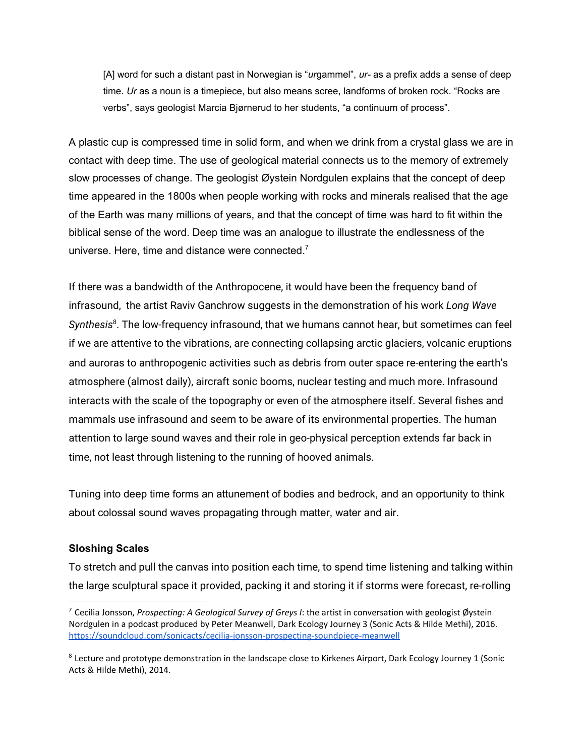[A] word for such a distant past in Norwegian is "*ur*gammel", *ur-* as a prefix adds a sense of deep time. *Ur* as a noun is a timepiece, but also means scree, landforms of broken rock. "Rocks are verbs", says geologist Marcia Bjørnerud to her students, "a continuum of process".

A plastic cup is compressed time in solid form, and when we drink from a crystal glass we are in contact with deep time. The use of geological material connects us to the memory of extremely slow processes of change. The geologist Øystein Nordgulen explains that the concept of deep time appeared in the 1800s when people working with rocks and minerals realised that the age of the Earth was many millions of years, and that the concept of time was hard to fit within the biblical sense of the word. Deep time was an analogue to illustrate the endlessness of the universe. Here, time and distance were connected. $7$ 

If there was a bandwidth of the Anthropocene, it would have been the frequency band of infrasound, the artist Raviv Ganchrow suggests in the demonstration of his work *Long Wave Synthesis* 8 . The low-frequency infrasound, that we humans cannot hear, but sometimes can feel if we are attentive to the vibrations, are connecting collapsing arctic glaciers, volcanic eruptions and auroras to anthropogenic activities such as debris from outer space re-entering the earth's atmosphere (almost daily), aircraft sonic booms, nuclear testing and much more. Infrasound interacts with the scale of the topography or even of the atmosphere itself. Several fishes and mammals use infrasound and seem to be aware of its environmental properties. The human attention to large sound waves and their role in geo-physical perception extends far back in time, not least through listening to the running of hooved animals.

Tuning into deep time forms an attunement of bodies and bedrock, and an opportunity to think about colossal sound waves propagating through matter, water and air.

### **Sloshing Scales**

To stretch and pull the canvas into position each time, to spend time listening and talking within the large sculptural space it provided, packing it and storing it if storms were forecast, re-rolling

<sup>7</sup> Cecilia Jonsson, *Prospecting: A Geological Survey of Greys I*: the artist in conversation with geologist Øystein Nordgulen in a podcast produced by Peter Meanwell, Dark Ecology Journey 3 (Sonic Acts & Hilde Methi), 2016. <https://soundcloud.com/sonicacts/cecilia-jonsson-prospecting-soundpiece-meanwell>

<sup>&</sup>lt;sup>8</sup> Lecture and prototype demonstration in the landscape close to Kirkenes Airport, Dark Ecology Journey 1 (Sonic Acts & Hilde Methi), 2014.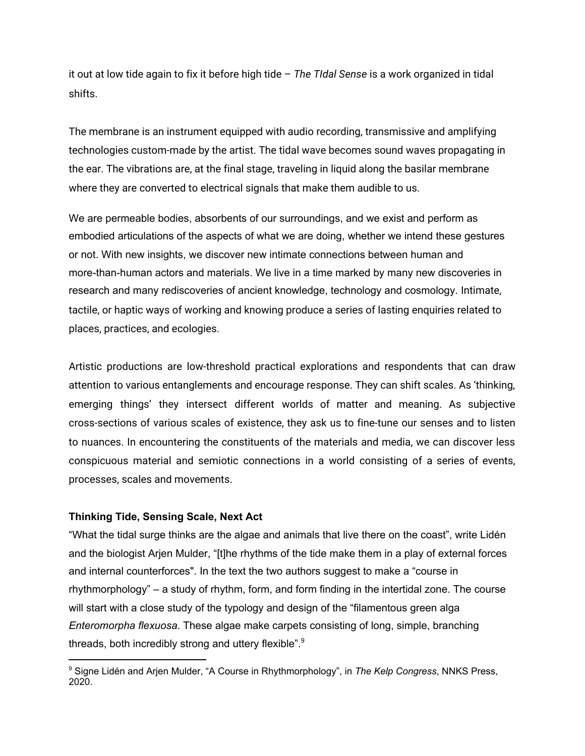it out at low tide again to fix it before high tide – *The TIdal Sense* is a work organized in tidal shifts.

The membrane is an instrument equipped with audio recording, transmissive and amplifying technologies custom-made by the artist. The tidal wave becomes sound waves propagating in the ear. The vibrations are, at the final stage, traveling in liquid along the basilar membrane where they are converted to electrical signals that make them audible to us.

We are permeable bodies, absorbents of our surroundings, and we exist and perform as embodied articulations of the aspects of what we are doing, whether we intend these gestures or not. With new insights, we discover new intimate connections between human and more-than-human actors and materials. We live in a time marked by many new discoveries in research and many rediscoveries of ancient knowledge, technology and cosmology. Intimate, tactile, or haptic ways of working and knowing produce a series of lasting enquiries related to places, practices, and ecologies.

Artistic productions are low-threshold practical explorations and respondents that can draw attention to various entanglements and encourage response. They can shift scales. As 'thinking, emerging things' they intersect different worlds of matter and meaning. As subjective cross-sections of various scales of existence, they ask us to fine-tune our senses and to listen to nuances. In encountering the constituents of the materials and media, we can discover less conspicuous material and semiotic connections in a world consisting of a series of events, processes, scales and movements.

### **Thinking Tide, Sensing Scale, Next Act**

"What the tidal surge thinks are the algae and animals that live there on the coast", write Lidén and the biologist Arjen Mulder, "[t]he rhythms of the tide make them in a play of external forces and internal counterforces". In the text the two authors suggest to make a "course in rhythmorphology" – a study of rhythm, form, and form finding in the intertidal zone. The course will start with a close study of the typology and design of the "filamentous green alga *Enteromorpha flexuosa*. These algae make carpets consisting of long, simple, branching threads, both incredibly strong and uttery flexible".<sup>9</sup>

<sup>9</sup> Signe Lidén and Arjen Mulder, "A Course in Rhythmorphology", in *The Kelp Congress*, NNKS Press, 2020.